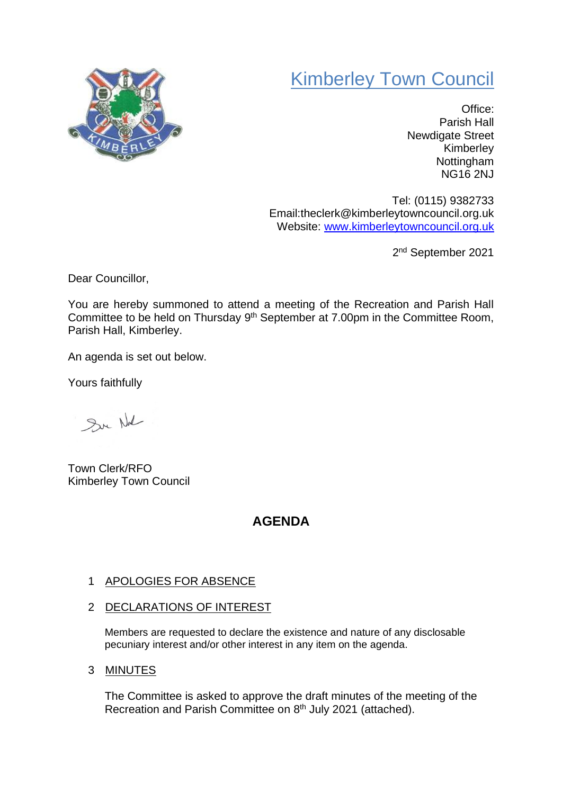## Kimberley Town Council



Office: Parish Hall Newdigate Street Kimberley Nottingham NG16 2NJ

Tel: (0115) 9382733 Email:theclerk@kimberleytowncouncil.org.uk Website: [www.kimberleytowncouncil.org.uk](http://www.kimberleytowncouncil.org.uk/)

2<sup>nd</sup> September 2021

Dear Councillor,

You are hereby summoned to attend a meeting of the Recreation and Parish Hall Committee to be held on Thursday  $9<sup>th</sup>$  September at 7.00pm in the Committee Room, Parish Hall, Kimberley.

An agenda is set out below.

Yours faithfully

Sur Nd

Town Clerk/RFO Kimberley Town Council

## **AGENDA**

## 1 APOLOGIES FOR ABSENCE

2 DECLARATIONS OF INTEREST

Members are requested to declare the existence and nature of any disclosable pecuniary interest and/or other interest in any item on the agenda.

3 MINUTES

The Committee is asked to approve the draft minutes of the meeting of the Recreation and Parish Committee on 8<sup>th</sup> July 2021 (attached).